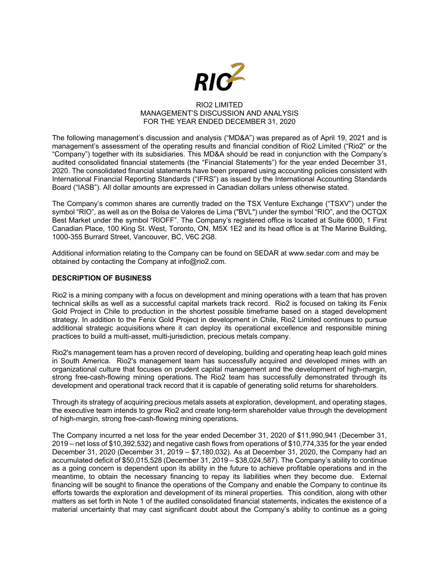

## RIO2 LIMITED MANAGEMENT'S DISCUSSION AND ANALYSIS FOR THE YEAR ENDED DECEMBER 31, 2020

The following management's discussion and analysis ("MD&A") was prepared as of April 19, 2021 and is management's assessment of the operating results and financial condition of Rio2 Limited ("Rio2" or the "Company") together with its subsidiaries. This MD&A should be read in conjunction with the Company's audited consolidated financial statements (the "Financial Statements") for the year ended December 31, 2020. The consolidated financial statements have been prepared using accounting policies consistent with International Financial Reporting Standards ("IFRS") as issued by the International Accounting Standards Board ("IASB"). All dollar amounts are expressed in Canadian dollars unless otherwise stated.

The Company's common shares are currently traded on the TSX Venture Exchange ("TSXV") under the symbol "RIO", as well as on the Bolsa de Valores de Lima ("BVL") under the symbol "RIO", and the OCTQX Best Market under the symbol "RIOFF". The Company's registered office is located at Suite 6000, 1 First Canadian Place, 100 King St. West, Toronto, ON, M5X 1E2 and its head office is at The Marine Building, 1000-355 Burrard Street, Vancouver, BC, V6C 2G8.

Additional information relating to the Company can be found on SEDAR at www.sedar.com and may be obtained by contacting the Company at info@rio2.com.

## **DESCRIPTION OF BUSINESS**

Rio2 is a mining company with a focus on development and mining operations with a team that has proven technical skills as well as a successful capital markets track record. Rio2 is focused on taking its Fenix Gold Project in Chile to production in the shortest possible timeframe based on a staged development strategy. In addition to the Fenix Gold Project in development in Chile, Rio2 Limited continues to pursue additional strategic acquisitions where it can deploy its operational excellence and responsible mining practices to build a multi-asset, multi-jurisdiction, precious metals company.

Rio2's management team has a proven record of developing, building and operating heap leach gold mines in South America. Rio2's management team has successfully acquired and developed mines with an organizational culture that focuses on prudent capital management and the development of high-margin, strong free-cash-flowing mining operations. The Rio2 team has successfully demonstrated through its development and operational track record that it is capable of generating solid returns for shareholders.

Through its strategy of acquiring precious metals assets at exploration, development, and operating stages, the executive team intends to grow Rio2 and create long-term shareholder value through the development of high-margin, strong free-cash-flowing mining operations.

The Company incurred a net loss for the year ended December 31, 2020 of \$11,990,941 (December 31, 2019 – net loss of \$10,392,532) and negative cash flows from operations of \$10,774,335 for the year ended December 31, 2020 (December 31, 2019 – \$7,180,032). As at December 31, 2020, the Company had an accumulated deficit of \$50,015,528 (December 31, 2019 – \$38,024,587). The Company's ability to continue as a going concern is dependent upon its ability in the future to achieve profitable operations and in the meantime, to obtain the necessary financing to repay its liabilities when they become due. External financing will be sought to finance the operations of the Company and enable the Company to continue its efforts towards the exploration and development of its mineral properties. This condition, along with other matters as set forth in Note 1 of the audited consolidated financial statements, indicates the existence of a material uncertainty that may cast significant doubt about the Company's ability to continue as a going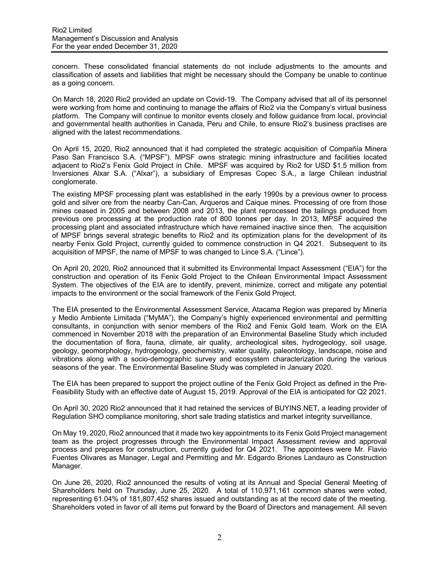concern. These consolidated financial statements do not include adjustments to the amounts and classification of assets and liabilities that might be necessary should the Company be unable to continue as a going concern.

On March 18, 2020 Rio2 provided an update on Covid-19. The Company advised that all of its personnel were working from home and continuing to manage the affairs of Rio2 via the Company's virtual business platform. The Company will continue to monitor events closely and follow guidance from local, provincial and governmental health authorities in Canada, Peru and Chile, to ensure Rio2's business practises are aligned with the latest recommendations.

On April 15, 2020, Rio2 announced that it had completed the strategic acquisition of Compañía Minera Paso San Francisco S.A. ("MPSF"). MPSF owns strategic mining infrastructure and facilities located adjacent to Rio2's Fenix Gold Project in Chile. MPSF was acquired by Rio2 for USD \$1.5 million from Inversiones Alxar S.A. ("Alxar"), a subsidiary of Empresas Copec S.A., a large Chilean industrial conglomerate.

The existing MPSF processing plant was established in the early 1990s by a previous owner to process gold and silver ore from the nearby Can-Can, Arqueros and Caique mines. Processing of ore from those mines ceased in 2005 and between 2008 and 2013, the plant reprocessed the tailings produced from previous ore processing at the production rate of 800 tonnes per day. In 2013, MPSF acquired the processing plant and associated infrastructure which have remained inactive since then. The acquisition of MPSF brings several strategic benefits to Rio2 and its optimization plans for the development of its nearby Fenix Gold Project, currently guided to commence construction in Q4 2021. Subsequent to its acquisition of MPSF, the name of MPSF to was changed to Lince S.A. ("Lince").

On April 20, 2020, Rio2 announced that it submitted its Environmental Impact Assessment ("EIA") for the construction and operation of its Fenix Gold Project to the Chilean Environmental Impact Assessment System. The objectives of the EIA are to identify, prevent, minimize, correct and mitigate any potential impacts to the environment or the social framework of the Fenix Gold Project.

The EIA presented to the Environmental Assessment Service, Atacama Region was prepared by Minería y Medio Ambiente Limitada ("MyMA"), the Company's highly experienced environmental and permitting consultants, in conjunction with senior members of the Rio2 and Fenix Gold team. Work on the EIA commenced in November 2018 with the preparation of an Environmental Baseline Study which included the documentation of flora, fauna, climate, air quality, archeological sites, hydrogeology, soil usage, geology, geomorphology, hydrogeology, geochemistry, water quality, paleontology, landscape, noise and vibrations along with a socio-demographic survey and ecosystem characterization during the various seasons of the year. The Environmental Baseline Study was completed in January 2020.

The EIA has been prepared to support the project outline of the Fenix Gold Project as defined in the Pre-Feasibility Study with an effective date of August 15, 2019. Approval of the EIA is anticipated for Q2 2021.

On April 30, 2020 Rio2 announced that it had retained the services of BUYINS.NET, a leading provider of Regulation SHO compliance monitoring, short sale trading statistics and market integrity surveillance.

On May 19, 2020, Rio2 announced that it made two key appointments to its Fenix Gold Project management team as the project progresses through the Environmental Impact Assessment review and approval process and prepares for construction, currently guided for Q4 2021. The appointees were Mr. Flavio Fuentes Olivares as Manager, Legal and Permitting and Mr. Edgardo Briones Landauro as Construction Manager.

On June 26, 2020, Rio2 announced the results of voting at its Annual and Special General Meeting of Shareholders held on Thursday, June 25, 2020. A total of 110,971,161 common shares were voted, representing 61.04% of 181,807,452 shares issued and outstanding as at the record date of the meeting. Shareholders voted in favor of all items put forward by the Board of Directors and management. All seven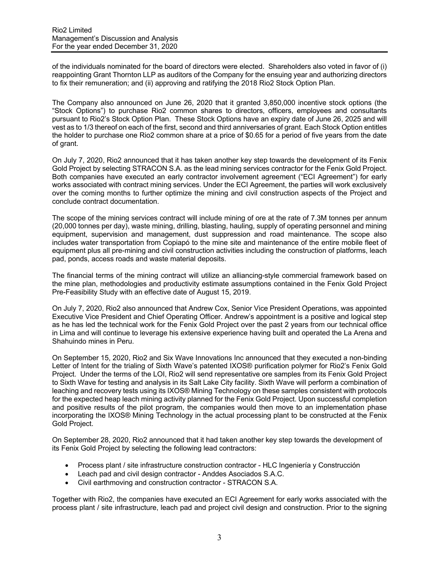of the individuals nominated for the board of directors were elected. Shareholders also voted in favor of (i) reappointing Grant Thornton LLP as auditors of the Company for the ensuing year and authorizing directors to fix their remuneration; and (ii) approving and ratifying the 2018 Rio2 Stock Option Plan.

The Company also announced on June 26, 2020 that it granted 3,850,000 incentive stock options (the "Stock Options") to purchase Rio2 common shares to directors, officers, employees and consultants pursuant to Rio2's Stock Option Plan. These Stock Options have an expiry date of June 26, 2025 and will vest as to 1/3 thereof on each of the first, second and third anniversaries of grant. Each Stock Option entitles the holder to purchase one Rio2 common share at a price of \$0.65 for a period of five years from the date of grant.

On July 7, 2020, Rio2 announced that it has taken another key step towards the development of its Fenix Gold Project by selecting STRACON S.A. as the lead mining services contractor for the Fenix Gold Project. Both companies have executed an early contractor involvement agreement ("ECI Agreement") for early works associated with contract mining services. Under the ECI Agreement, the parties will work exclusively over the coming months to further optimize the mining and civil construction aspects of the Project and conclude contract documentation.

The scope of the mining services contract will include mining of ore at the rate of 7.3M tonnes per annum (20,000 tonnes per day), waste mining, drilling, blasting, hauling, supply of operating personnel and mining equipment, supervision and management, dust suppression and road maintenance. The scope also includes water transportation from Copiapó to the mine site and maintenance of the entire mobile fleet of equipment plus all pre-mining and civil construction activities including the construction of platforms, leach pad, ponds, access roads and waste material deposits.

The financial terms of the mining contract will utilize an alliancing-style commercial framework based on the mine plan, methodologies and productivity estimate assumptions contained in the Fenix Gold Project Pre-Feasibility Study with an effective date of August 15, 2019.

On July 7, 2020, Rio2 also announced that Andrew Cox, Senior Vice President Operations, was appointed Executive Vice President and Chief Operating Officer. Andrew's appointment is a positive and logical step as he has led the technical work for the Fenix Gold Project over the past 2 years from our technical office in Lima and will continue to leverage his extensive experience having built and operated the La Arena and Shahuindo mines in Peru.

On September 15, 2020, Rio2 and Six Wave Innovations Inc announced that they executed a non-binding Letter of Intent for the trialing of Sixth Wave's patented IXOS® purification polymer for Rio2's Fenix Gold Project. Under the terms of the LOI, Rio2 will send representative ore samples from its Fenix Gold Project to Sixth Wave for testing and analysis in its Salt Lake City facility. Sixth Wave will perform a combination of leaching and recovery tests using its IXOS® Mining Technology on these samples consistent with protocols for the expected heap leach mining activity planned for the Fenix Gold Project. Upon successful completion and positive results of the pilot program, the companies would then move to an implementation phase incorporating the IXOS® Mining Technology in the actual processing plant to be constructed at the Fenix Gold Project.

On September 28, 2020, Rio2 announced that it had taken another key step towards the development of its Fenix Gold Project by selecting the following lead contractors:

- Process plant / site infrastructure construction contractor HLC Ingeniería y Construcción
- Leach pad and civil design contractor Anddes Asociados S.A.C.
- Civil earthmoving and construction contractor STRACON S.A.

Together with Rio2, the companies have executed an ECI Agreement for early works associated with the process plant / site infrastructure, leach pad and project civil design and construction. Prior to the signing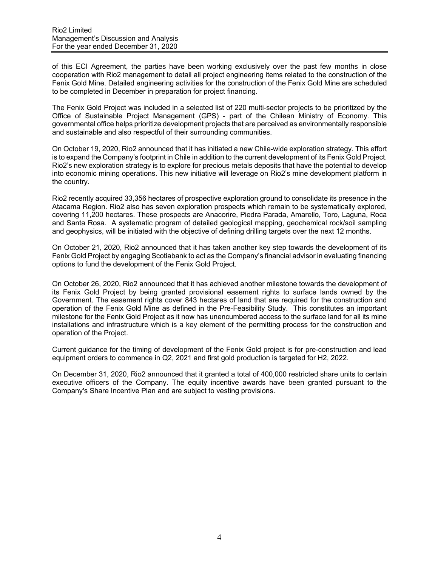of this ECI Agreement, the parties have been working exclusively over the past few months in close cooperation with Rio2 management to detail all project engineering items related to the construction of the Fenix Gold Mine. Detailed engineering activities for the construction of the Fenix Gold Mine are scheduled to be completed in December in preparation for project financing.

The Fenix Gold Project was included in a selected list of 220 multi-sector projects to be prioritized by the Office of Sustainable Project Management (GPS) - part of the Chilean Ministry of Economy. This governmental office helps prioritize development projects that are perceived as environmentally responsible and sustainable and also respectful of their surrounding communities.

On October 19, 2020, Rio2 announced that it has initiated a new Chile-wide exploration strategy. This effort is to expand the Company's footprint in Chile in addition to the current development of its Fenix Gold Project. Rio2's new exploration strategy is to explore for precious metals deposits that have the potential to develop into economic mining operations. This new initiative will leverage on Rio2's mine development platform in the country.

Rio2 recently acquired 33,356 hectares of prospective exploration ground to consolidate its presence in the Atacama Region. Rio2 also has seven exploration prospects which remain to be systematically explored, covering 11,200 hectares. These prospects are Anacorire, Piedra Parada, Amarello, Toro, Laguna, Roca and Santa Rosa. A systematic program of detailed geological mapping, geochemical rock/soil sampling and geophysics, will be initiated with the objective of defining drilling targets over the next 12 months.

On October 21, 2020, Rio2 announced that it has taken another key step towards the development of its Fenix Gold Project by engaging Scotiabank to act as the Company's financial advisor in evaluating financing options to fund the development of the Fenix Gold Project.

On October 26, 2020, Rio2 announced that it has achieved another milestone towards the development of its Fenix Gold Project by being granted provisional easement rights to surface lands owned by the Government. The easement rights cover 843 hectares of land that are required for the construction and operation of the Fenix Gold Mine as defined in the Pre-Feasibility Study. This constitutes an important milestone for the Fenix Gold Project as it now has unencumbered access to the surface land for all its mine installations and infrastructure which is a key element of the permitting process for the construction and operation of the Project.

Current guidance for the timing of development of the Fenix Gold project is for pre-construction and lead equipment orders to commence in Q2, 2021 and first gold production is targeted for H2, 2022.

On December 31, 2020, Rio2 announced that it granted a total of 400,000 restricted share units to certain executive officers of the Company. The equity incentive awards have been granted pursuant to the Company's Share Incentive Plan and are subject to vesting provisions.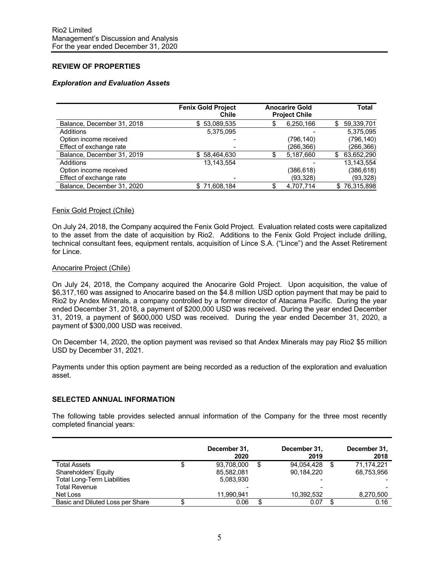# **REVIEW OF PROPERTIES**

## *Exploration and Evaluation Assets*

|                            | <b>Fenix Gold Project</b><br>Chile | <b>Anocarire Gold</b><br><b>Project Chile</b> |    | Total        |
|----------------------------|------------------------------------|-----------------------------------------------|----|--------------|
| Balance, December 31, 2018 | \$53,089,535                       | 6,250,166                                     | S  | 59,339,701   |
| Additions                  | 5,375,095                          |                                               |    | 5,375,095    |
| Option income received     |                                    | (796,140)                                     |    | (796, 140)   |
| Effect of exchange rate    |                                    | (266,366)                                     |    | (266, 366)   |
| Balance, December 31, 2019 | \$58,464,630                       | 5,187,660                                     | \$ | 63,652,290   |
| Additions                  | 13,143,554                         |                                               |    | 13.143.554   |
| Option income received     |                                    | (386, 618)                                    |    | (386, 618)   |
| Effect of exchange rate    |                                    | (93, 328)                                     |    | (93, 328)    |
| Balance, December 31, 2020 | \$71,608,184                       | 4,707,714                                     |    | \$76,315,898 |

#### Fenix Gold Project (Chile)

On July 24, 2018, the Company acquired the Fenix Gold Project. Evaluation related costs were capitalized to the asset from the date of acquisition by Rio2. Additions to the Fenix Gold Project include drilling, technical consultant fees, equipment rentals, acquisition of Lince S.A. ("Lince") and the Asset Retirement for Lince.

## Anocarire Project (Chile)

On July 24, 2018, the Company acquired the Anocarire Gold Project. Upon acquisition, the value of \$6,317,160 was assigned to Anocarire based on the \$4.8 million USD option payment that may be paid to Rio2 by Andex Minerals, a company controlled by a former director of Atacama Pacific. During the year ended December 31, 2018, a payment of \$200,000 USD was received. During the year ended December 31, 2019, a payment of \$600,000 USD was received. During the year ended December 31, 2020, a payment of \$300,000 USD was received.

On December 14, 2020, the option payment was revised so that Andex Minerals may pay Rio2 \$5 million USD by December 31, 2021.

Payments under this option payment are being recorded as a reduction of the exploration and evaluation asset.

#### **SELECTED ANNUAL INFORMATION**

The following table provides selected annual information of the Company for the three most recently completed financial years:

|                                    | December 31,<br>2020 |    | December 31,<br>2019 | December 31,<br>2018 |
|------------------------------------|----------------------|----|----------------------|----------------------|
| Total Assets                       | \$<br>93,708,000     | \$ | 94,054,428           | 71.174.221           |
| Shareholders' Equity               | 85,582,081           |    | 90,184,220           | 68,753,956           |
| <b>Total Long-Term Liabilities</b> | 5,083,930            |    |                      |                      |
| <b>Total Revenue</b>               |                      |    |                      |                      |
| Net Loss                           | 11.990.941           |    | 10,392,532           | 8,270,500            |
| Basic and Diluted Loss per Share   | 0.06                 | S  | 0.07                 | 0.16                 |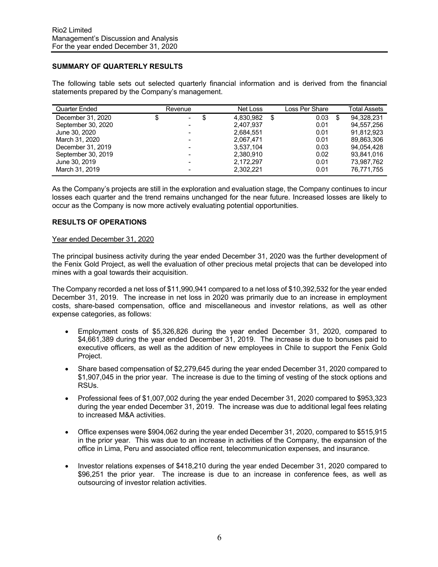## **SUMMARY OF QUARTERLY RESULTS**

The following table sets out selected quarterly financial information and is derived from the financial statements prepared by the Company's management.

| Quarter Ended      | Revenue                   | Net Loss  |   | Loss Per Share | <b>Total Assets</b> |
|--------------------|---------------------------|-----------|---|----------------|---------------------|
| December 31, 2020  | \$<br>S<br>$\blacksquare$ | 4.830.982 | S | 0.03           | \$<br>94.328.231    |
| September 30, 2020 |                           | 2,407,937 |   | 0.01           | 94,557,256          |
| June 30, 2020      |                           | 2,684,551 |   | 0.01           | 91.812.923          |
| March 31, 2020     |                           | 2,067,471 |   | 0.01           | 89.863.306          |
| December 31, 2019  |                           | 3.537.104 |   | 0.03           | 94.054.428          |
| September 30, 2019 |                           | 2,380,910 |   | 0.02           | 93.841.016          |
| June 30, 2019      |                           | 2,172,297 |   | 0.01           | 73.987.762          |
| March 31, 2019     |                           | 2,302,221 |   | 0.01           | 76.771.755          |

As the Company's projects are still in the exploration and evaluation stage, the Company continues to incur losses each quarter and the trend remains unchanged for the near future. Increased losses are likely to occur as the Company is now more actively evaluating potential opportunities.

## **RESULTS OF OPERATIONS**

#### Year ended December 31, 2020

The principal business activity during the year ended December 31, 2020 was the further development of the Fenix Gold Project, as well the evaluation of other precious metal projects that can be developed into mines with a goal towards their acquisition.

The Company recorded a net loss of \$11,990,941 compared to a net loss of \$10,392,532 for the year ended December 31, 2019. The increase in net loss in 2020 was primarily due to an increase in employment costs, share-based compensation, office and miscellaneous and investor relations, as well as other expense categories, as follows:

- Employment costs of \$5,326,826 during the year ended December 31, 2020, compared to \$4,661,389 during the year ended December 31, 2019. The increase is due to bonuses paid to executive officers, as well as the addition of new employees in Chile to support the Fenix Gold Project.
- Share based compensation of \$2,279,645 during the year ended December 31, 2020 compared to \$1,907,045 in the prior year. The increase is due to the timing of vesting of the stock options and RSUs.
- Professional fees of \$1,007,002 during the year ended December 31, 2020 compared to \$953,323 during the year ended December 31, 2019. The increase was due to additional legal fees relating to increased M&A activities.
- Office expenses were \$904,062 during the year ended December 31, 2020, compared to \$515,915 in the prior year. This was due to an increase in activities of the Company, the expansion of the office in Lima, Peru and associated office rent, telecommunication expenses, and insurance.
- Investor relations expenses of \$418,210 during the year ended December 31, 2020 compared to \$96,251 the prior year. The increase is due to an increase in conference fees, as well as outsourcing of investor relation activities.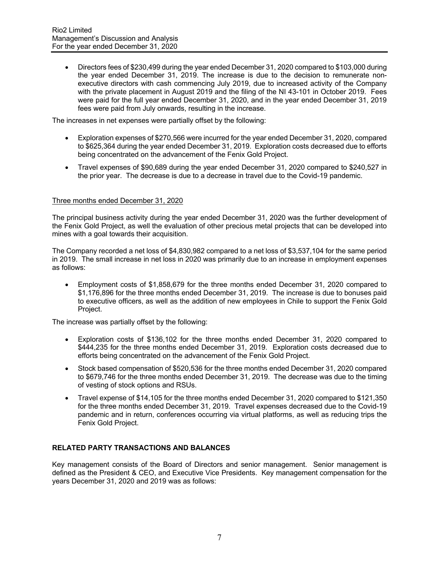• Directors fees of \$230,499 during the year ended December 31, 2020 compared to \$103,000 during the year ended December 31, 2019. The increase is due to the decision to remunerate nonexecutive directors with cash commencing July 2019, due to increased activity of the Company with the private placement in August 2019 and the filing of the NI 43-101 in October 2019. Fees were paid for the full year ended December 31, 2020, and in the year ended December 31, 2019 fees were paid from July onwards, resulting in the increase.

The increases in net expenses were partially offset by the following:

- Exploration expenses of \$270,566 were incurred for the year ended December 31, 2020, compared to \$625,364 during the year ended December 31, 2019. Exploration costs decreased due to efforts being concentrated on the advancement of the Fenix Gold Project.
- Travel expenses of \$90,689 during the year ended December 31, 2020 compared to \$240,527 in the prior year. The decrease is due to a decrease in travel due to the Covid-19 pandemic.

## Three months ended December 31, 2020

The principal business activity during the year ended December 31, 2020 was the further development of the Fenix Gold Project, as well the evaluation of other precious metal projects that can be developed into mines with a goal towards their acquisition.

The Company recorded a net loss of \$4,830,982 compared to a net loss of \$3,537,104 for the same period in 2019. The small increase in net loss in 2020 was primarily due to an increase in employment expenses as follows:

• Employment costs of \$1,858,679 for the three months ended December 31, 2020 compared to \$1,176,896 for the three months ended December 31, 2019. The increase is due to bonuses paid to executive officers, as well as the addition of new employees in Chile to support the Fenix Gold Project.

The increase was partially offset by the following:

- Exploration costs of \$136,102 for the three months ended December 31, 2020 compared to \$444,235 for the three months ended December 31, 2019. Exploration costs decreased due to efforts being concentrated on the advancement of the Fenix Gold Project.
- Stock based compensation of \$520,536 for the three months ended December 31, 2020 compared to \$679,746 for the three months ended December 31, 2019. The decrease was due to the timing of vesting of stock options and RSUs.
- Travel expense of \$14,105 for the three months ended December 31, 2020 compared to \$121,350 for the three months ended December 31, 2019. Travel expenses decreased due to the Covid-19 pandemic and in return, conferences occurring via virtual platforms, as well as reducing trips the Fenix Gold Project.

#### **RELATED PARTY TRANSACTIONS AND BALANCES**

Key management consists of the Board of Directors and senior management. Senior management is defined as the President & CEO, and Executive Vice Presidents. Key management compensation for the years December 31, 2020 and 2019 was as follows: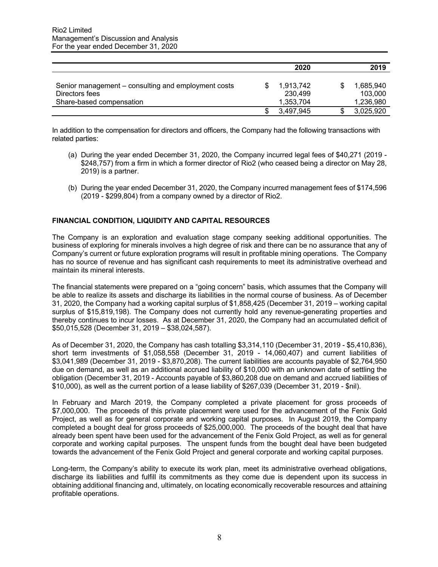|                                                                       | 2020                 | 2019                       |
|-----------------------------------------------------------------------|----------------------|----------------------------|
| Senior management – consulting and employment costs<br>Directors fees | 1,913,742<br>230.499 | \$<br>1,685,940<br>103.000 |
| Share-based compensation                                              | 1,353,704            | 1,236,980                  |
|                                                                       | 3.497.945            | 3,025,920                  |

In addition to the compensation for directors and officers, the Company had the following transactions with related parties:

- (a) During the year ended December 31, 2020, the Company incurred legal fees of \$40,271 (2019 \$248,757) from a firm in which a former director of Rio2 (who ceased being a director on May 28, 2019) is a partner.
- (b) During the year ended December 31, 2020, the Company incurred management fees of \$174,596 (2019 - \$299,804) from a company owned by a director of Rio2.

## **FINANCIAL CONDITION, LIQUIDITY AND CAPITAL RESOURCES**

The Company is an exploration and evaluation stage company seeking additional opportunities. The business of exploring for minerals involves a high degree of risk and there can be no assurance that any of Company's current or future exploration programs will result in profitable mining operations. The Company has no source of revenue and has significant cash requirements to meet its administrative overhead and maintain its mineral interests.

The financial statements were prepared on a "going concern" basis, which assumes that the Company will be able to realize its assets and discharge its liabilities in the normal course of business. As of December 31, 2020, the Company had a working capital surplus of \$1,858,425 (December 31, 2019 – working capital surplus of \$15,819,198). The Company does not currently hold any revenue-generating properties and thereby continues to incur losses. As at December 31, 2020, the Company had an accumulated deficit of \$50,015,528 (December 31, 2019 – \$38,024,587).

As of December 31, 2020, the Company has cash totalling \$3,314,110 (December 31, 2019 - \$5,410,836), short term investments of \$1,058,558 (December 31, 2019 - 14,060,407) and current liabilities of \$3,041,989 (December 31, 2019 - \$3,870,208). The current liabilities are accounts payable of \$2,764,950 due on demand, as well as an additional accrued liability of \$10,000 with an unknown date of settling the obligation (December 31, 2019 - Accounts payable of \$3,860,208 due on demand and accrued liabilities of \$10,000), as well as the current portion of a lease liability of \$267,039 (December 31, 2019 - \$nil).

In February and March 2019, the Company completed a private placement for gross proceeds of \$7,000,000. The proceeds of this private placement were used for the advancement of the Fenix Gold Project, as well as for general corporate and working capital purposes. In August 2019, the Company completed a bought deal for gross proceeds of \$25,000,000. The proceeds of the bought deal that have already been spent have been used for the advancement of the Fenix Gold Project, as well as for general corporate and working capital purposes. The unspent funds from the bought deal have been budgeted towards the advancement of the Fenix Gold Project and general corporate and working capital purposes.

Long-term, the Company's ability to execute its work plan, meet its administrative overhead obligations, discharge its liabilities and fulfill its commitments as they come due is dependent upon its success in obtaining additional financing and, ultimately, on locating economically recoverable resources and attaining profitable operations.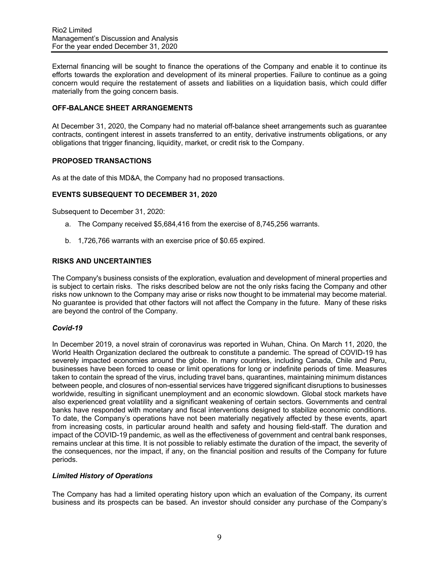External financing will be sought to finance the operations of the Company and enable it to continue its efforts towards the exploration and development of its mineral properties. Failure to continue as a going concern would require the restatement of assets and liabilities on a liquidation basis, which could differ materially from the going concern basis.

## **OFF-BALANCE SHEET ARRANGEMENTS**

At December 31, 2020, the Company had no material off-balance sheet arrangements such as guarantee contracts, contingent interest in assets transferred to an entity, derivative instruments obligations, or any obligations that trigger financing, liquidity, market, or credit risk to the Company.

## **PROPOSED TRANSACTIONS**

As at the date of this MD&A, the Company had no proposed transactions.

## **EVENTS SUBSEQUENT TO DECEMBER 31, 2020**

Subsequent to December 31, 2020:

- a. The Company received \$5,684,416 from the exercise of 8,745,256 warrants.
- b. 1,726,766 warrants with an exercise price of \$0.65 expired.

#### **RISKS AND UNCERTAINTIES**

The Company's business consists of the exploration, evaluation and development of mineral properties and is subject to certain risks. The risks described below are not the only risks facing the Company and other risks now unknown to the Company may arise or risks now thought to be immaterial may become material. No guarantee is provided that other factors will not affect the Company in the future. Many of these risks are beyond the control of the Company.

### *Covid-19*

In December 2019, a novel strain of coronavirus was reported in Wuhan, China. On March 11, 2020, the World Health Organization declared the outbreak to constitute a pandemic. The spread of COVID-19 has severely impacted economies around the globe. In many countries, including Canada, Chile and Peru, businesses have been forced to cease or limit operations for long or indefinite periods of time. Measures taken to contain the spread of the virus, including travel bans, quarantines, maintaining minimum distances between people, and closures of non-essential services have triggered significant disruptions to businesses worldwide, resulting in significant unemployment and an economic slowdown. Global stock markets have also experienced great volatility and a significant weakening of certain sectors. Governments and central banks have responded with monetary and fiscal interventions designed to stabilize economic conditions. To date, the Company's operations have not been materially negatively affected by these events, apart from increasing costs, in particular around health and safety and housing field-staff. The duration and impact of the COVID-19 pandemic, as well as the effectiveness of government and central bank responses, remains unclear at this time. It is not possible to reliably estimate the duration of the impact, the severity of the consequences, nor the impact, if any, on the financial position and results of the Company for future periods.

#### *Limited History of Operations*

The Company has had a limited operating history upon which an evaluation of the Company, its current business and its prospects can be based. An investor should consider any purchase of the Company's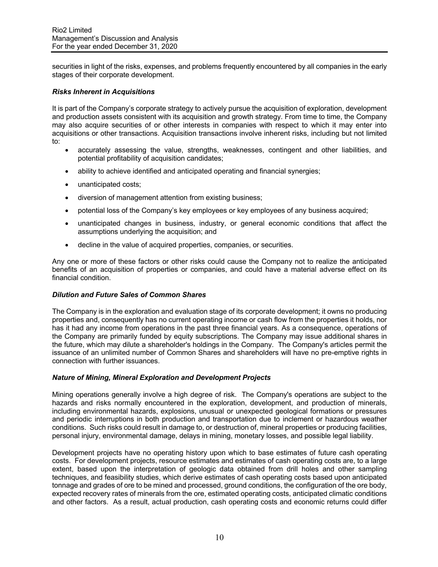securities in light of the risks, expenses, and problems frequently encountered by all companies in the early stages of their corporate development.

#### *Risks Inherent in Acquisitions*

It is part of the Company's corporate strategy to actively pursue the acquisition of exploration, development and production assets consistent with its acquisition and growth strategy. From time to time, the Company may also acquire securities of or other interests in companies with respect to which it may enter into acquisitions or other transactions. Acquisition transactions involve inherent risks, including but not limited to:

- accurately assessing the value, strengths, weaknesses, contingent and other liabilities, and potential profitability of acquisition candidates;
- ability to achieve identified and anticipated operating and financial synergies;
- unanticipated costs;
- diversion of management attention from existing business;
- potential loss of the Company's key employees or key employees of any business acquired;
- unanticipated changes in business, industry, or general economic conditions that affect the assumptions underlying the acquisition; and
- decline in the value of acquired properties, companies, or securities.

Any one or more of these factors or other risks could cause the Company not to realize the anticipated benefits of an acquisition of properties or companies, and could have a material adverse effect on its financial condition.

## *Dilution and Future Sales of Common Shares*

The Company is in the exploration and evaluation stage of its corporate development; it owns no producing properties and, consequently has no current operating income or cash flow from the properties it holds, nor has it had any income from operations in the past three financial years. As a consequence, operations of the Company are primarily funded by equity subscriptions. The Company may issue additional shares in the future, which may dilute a shareholder's holdings in the Company. The Company's articles permit the issuance of an unlimited number of Common Shares and shareholders will have no pre-emptive rights in connection with further issuances.

#### *Nature of Mining, Mineral Exploration and Development Projects*

Mining operations generally involve a high degree of risk. The Company's operations are subject to the hazards and risks normally encountered in the exploration, development, and production of minerals, including environmental hazards, explosions, unusual or unexpected geological formations or pressures and periodic interruptions in both production and transportation due to inclement or hazardous weather conditions. Such risks could result in damage to, or destruction of, mineral properties or producing facilities, personal injury, environmental damage, delays in mining, monetary losses, and possible legal liability.

Development projects have no operating history upon which to base estimates of future cash operating costs. For development projects, resource estimates and estimates of cash operating costs are, to a large extent, based upon the interpretation of geologic data obtained from drill holes and other sampling techniques, and feasibility studies, which derive estimates of cash operating costs based upon anticipated tonnage and grades of ore to be mined and processed, ground conditions, the configuration of the ore body, expected recovery rates of minerals from the ore, estimated operating costs, anticipated climatic conditions and other factors. As a result, actual production, cash operating costs and economic returns could differ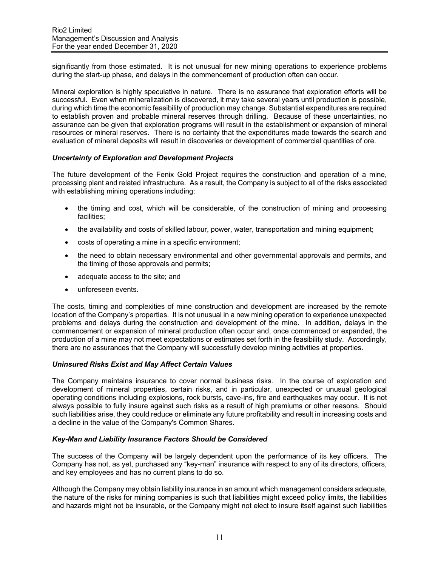significantly from those estimated. It is not unusual for new mining operations to experience problems during the start-up phase, and delays in the commencement of production often can occur.

Mineral exploration is highly speculative in nature. There is no assurance that exploration efforts will be successful. Even when mineralization is discovered, it may take several years until production is possible, during which time the economic feasibility of production may change. Substantial expenditures are required to establish proven and probable mineral reserves through drilling. Because of these uncertainties, no assurance can be given that exploration programs will result in the establishment or expansion of mineral resources or mineral reserves. There is no certainty that the expenditures made towards the search and evaluation of mineral deposits will result in discoveries or development of commercial quantities of ore.

## *Uncertainty of Exploration and Development Projects*

The future development of the Fenix Gold Project requires the construction and operation of a mine, processing plant and related infrastructure. As a result, the Company is subject to all of the risks associated with establishing mining operations including:

- the timing and cost, which will be considerable, of the construction of mining and processing facilities;
- the availability and costs of skilled labour, power, water, transportation and mining equipment;
- costs of operating a mine in a specific environment;
- the need to obtain necessary environmental and other governmental approvals and permits, and the timing of those approvals and permits;
- adequate access to the site; and
- unforeseen events.

The costs, timing and complexities of mine construction and development are increased by the remote location of the Company's properties. It is not unusual in a new mining operation to experience unexpected problems and delays during the construction and development of the mine. In addition, delays in the commencement or expansion of mineral production often occur and, once commenced or expanded, the production of a mine may not meet expectations or estimates set forth in the feasibility study. Accordingly, there are no assurances that the Company will successfully develop mining activities at properties.

## *Uninsured Risks Exist and May Affect Certain Values*

The Company maintains insurance to cover normal business risks. In the course of exploration and development of mineral properties, certain risks, and in particular, unexpected or unusual geological operating conditions including explosions, rock bursts, cave-ins, fire and earthquakes may occur. It is not always possible to fully insure against such risks as a result of high premiums or other reasons. Should such liabilities arise, they could reduce or eliminate any future profitability and result in increasing costs and a decline in the value of the Company's Common Shares.

#### *Key-Man and Liability Insurance Factors Should be Considered*

The success of the Company will be largely dependent upon the performance of its key officers. The Company has not, as yet, purchased any "key-man" insurance with respect to any of its directors, officers, and key employees and has no current plans to do so.

Although the Company may obtain liability insurance in an amount which management considers adequate, the nature of the risks for mining companies is such that liabilities might exceed policy limits, the liabilities and hazards might not be insurable, or the Company might not elect to insure itself against such liabilities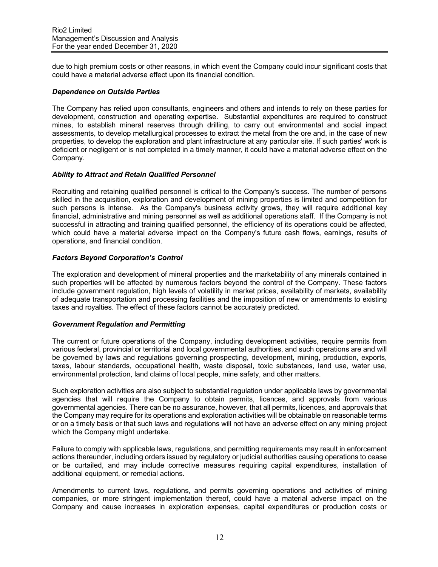due to high premium costs or other reasons, in which event the Company could incur significant costs that could have a material adverse effect upon its financial condition.

### *Dependence on Outside Parties*

The Company has relied upon consultants, engineers and others and intends to rely on these parties for development, construction and operating expertise. Substantial expenditures are required to construct mines, to establish mineral reserves through drilling, to carry out environmental and social impact assessments, to develop metallurgical processes to extract the metal from the ore and, in the case of new properties, to develop the exploration and plant infrastructure at any particular site. If such parties' work is deficient or negligent or is not completed in a timely manner, it could have a material adverse effect on the Company.

## *Ability to Attract and Retain Qualified Personnel*

Recruiting and retaining qualified personnel is critical to the Company's success. The number of persons skilled in the acquisition, exploration and development of mining properties is limited and competition for such persons is intense. As the Company's business activity grows, they will require additional key financial, administrative and mining personnel as well as additional operations staff. If the Company is not successful in attracting and training qualified personnel, the efficiency of its operations could be affected, which could have a material adverse impact on the Company's future cash flows, earnings, results of operations, and financial condition.

## *Factors Beyond Corporation's Control*

The exploration and development of mineral properties and the marketability of any minerals contained in such properties will be affected by numerous factors beyond the control of the Company. These factors include government regulation, high levels of volatility in market prices, availability of markets, availability of adequate transportation and processing facilities and the imposition of new or amendments to existing taxes and royalties. The effect of these factors cannot be accurately predicted.

#### *Government Regulation and Permitting*

The current or future operations of the Company, including development activities, require permits from various federal, provincial or territorial and local governmental authorities, and such operations are and will be governed by laws and regulations governing prospecting, development, mining, production, exports, taxes, labour standards, occupational health, waste disposal, toxic substances, land use, water use, environmental protection, land claims of local people, mine safety, and other matters.

Such exploration activities are also subject to substantial regulation under applicable laws by governmental agencies that will require the Company to obtain permits, licences, and approvals from various governmental agencies. There can be no assurance, however, that all permits, licences, and approvals that the Company may require for its operations and exploration activities will be obtainable on reasonable terms or on a timely basis or that such laws and regulations will not have an adverse effect on any mining project which the Company might undertake.

Failure to comply with applicable laws, regulations, and permitting requirements may result in enforcement actions thereunder, including orders issued by regulatory or judicial authorities causing operations to cease or be curtailed, and may include corrective measures requiring capital expenditures, installation of additional equipment, or remedial actions.

Amendments to current laws, regulations, and permits governing operations and activities of mining companies, or more stringent implementation thereof, could have a material adverse impact on the Company and cause increases in exploration expenses, capital expenditures or production costs or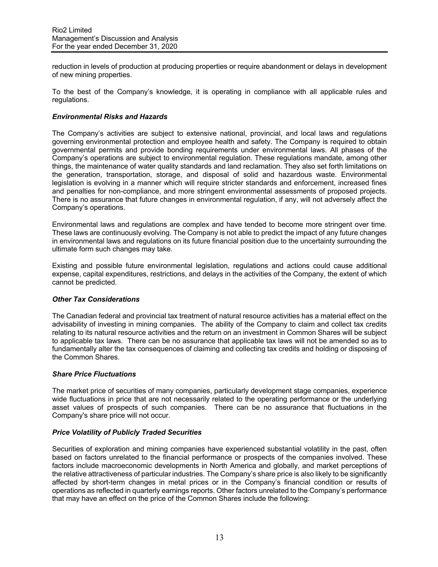reduction in levels of production at producing properties or require abandonment or delays in development of new mining properties.

To the best of the Company's knowledge, it is operating in compliance with all applicable rules and regulations.

### *Environmental Risks and Hazards*

The Company's activities are subject to extensive national, provincial, and local laws and regulations governing environmental protection and employee health and safety. The Company is required to obtain governmental permits and provide bonding requirements under environmental laws. All phases of the Company's operations are subject to environmental regulation. These regulations mandate, among other things, the maintenance of water quality standards and land reclamation. They also set forth limitations on the generation, transportation, storage, and disposal of solid and hazardous waste. Environmental legislation is evolving in a manner which will require stricter standards and enforcement, increased fines and penalties for non-compliance, and more stringent environmental assessments of proposed projects. There is no assurance that future changes in environmental regulation, if any, will not adversely affect the Company's operations.

Environmental laws and regulations are complex and have tended to become more stringent over time. These laws are continuously evolving. The Company is not able to predict the impact of any future changes in environmental laws and regulations on its future financial position due to the uncertainty surrounding the ultimate form such changes may take.

Existing and possible future environmental legislation, regulations and actions could cause additional expense, capital expenditures, restrictions, and delays in the activities of the Company, the extent of which cannot be predicted.

### *Other Tax Considerations*

The Canadian federal and provincial tax treatment of natural resource activities has a material effect on the advisability of investing in mining companies. The ability of the Company to claim and collect tax credits relating to its natural resource activities and the return on an investment in Common Shares will be subject to applicable tax laws. There can be no assurance that applicable tax laws will not be amended so as to fundamentally alter the tax consequences of claiming and collecting tax credits and holding or disposing of the Common Shares.

## *Share Price Fluctuations*

The market price of securities of many companies, particularly development stage companies, experience wide fluctuations in price that are not necessarily related to the operating performance or the underlying asset values of prospects of such companies. There can be no assurance that fluctuations in the Company's share price will not occur.

#### *Price Volatility of Publicly Traded Securities*

Securities of exploration and mining companies have experienced substantial volatility in the past, often based on factors unrelated to the financial performance or prospects of the companies involved. These factors include macroeconomic developments in North America and globally, and market perceptions of the relative attractiveness of particular industries. The Company's share price is also likely to be significantly affected by short-term changes in metal prices or in the Company's financial condition or results of operations as reflected in quarterly earnings reports. Other factors unrelated to the Company's performance that may have an effect on the price of the Common Shares include the following: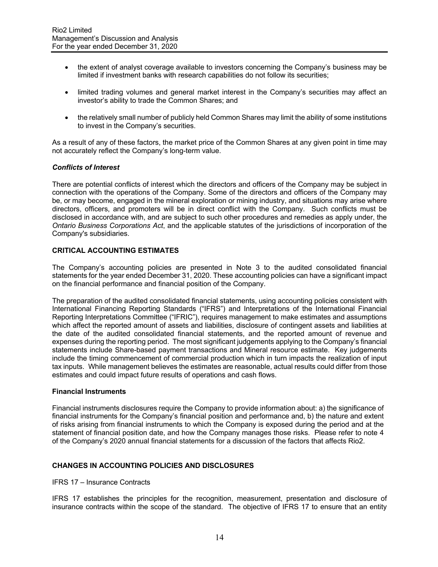- the extent of analyst coverage available to investors concerning the Company's business may be limited if investment banks with research capabilities do not follow its securities;
- limited trading volumes and general market interest in the Company's securities may affect an investor's ability to trade the Common Shares; and
- the relatively small number of publicly held Common Shares may limit the ability of some institutions to invest in the Company's securities.

As a result of any of these factors, the market price of the Common Shares at any given point in time may not accurately reflect the Company's long-term value.

## *Conflicts of Interest*

There are potential conflicts of interest which the directors and officers of the Company may be subject in connection with the operations of the Company. Some of the directors and officers of the Company may be, or may become, engaged in the mineral exploration or mining industry, and situations may arise where directors, officers, and promoters will be in direct conflict with the Company. Such conflicts must be disclosed in accordance with, and are subject to such other procedures and remedies as apply under, the *Ontario Business Corporations Act*, and the applicable statutes of the jurisdictions of incorporation of the Company's subsidiaries.

## **CRITICAL ACCOUNTING ESTIMATES**

The Company's accounting policies are presented in Note 3 to the audited consolidated financial statements for the year ended December 31, 2020. These accounting policies can have a significant impact on the financial performance and financial position of the Company.

The preparation of the audited consolidated financial statements, using accounting policies consistent with International Financing Reporting Standards ("IFRS") and Interpretations of the International Financial Reporting Interpretations Committee ("IFRIC"), requires management to make estimates and assumptions which affect the reported amount of assets and liabilities, disclosure of contingent assets and liabilities at the date of the audited consolidated financial statements, and the reported amount of revenue and expenses during the reporting period. The most significant judgements applying to the Company's financial statements include Share-based payment transactions and Mineral resource estimate. Key judgements include the timing commencement of commercial production which in turn impacts the realization of input tax inputs. While management believes the estimates are reasonable, actual results could differ from those estimates and could impact future results of operations and cash flows.

#### **Financial Instruments**

Financial instruments disclosures require the Company to provide information about: a) the significance of financial instruments for the Company's financial position and performance and, b) the nature and extent of risks arising from financial instruments to which the Company is exposed during the period and at the statement of financial position date, and how the Company manages those risks. Please refer to note 4 of the Company's 2020 annual financial statements for a discussion of the factors that affects Rio2.

### **CHANGES IN ACCOUNTING POLICIES AND DISCLOSURES**

#### IFRS 17 – Insurance Contracts

IFRS 17 establishes the principles for the recognition, measurement, presentation and disclosure of insurance contracts within the scope of the standard. The objective of IFRS 17 to ensure that an entity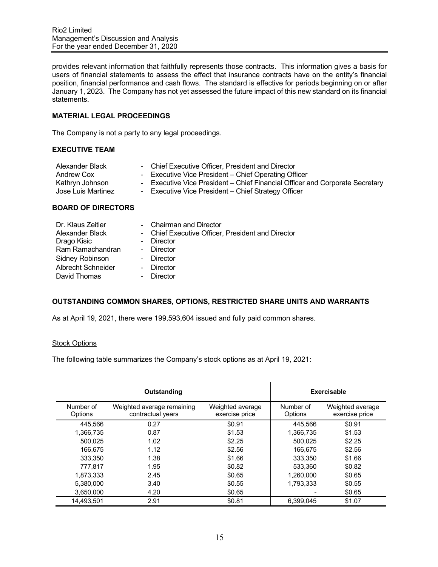provides relevant information that faithfully represents those contracts. This information gives a basis for users of financial statements to assess the effect that insurance contracts have on the entity's financial position, financial performance and cash flows. The standard is effective for periods beginning on or after January 1, 2023. The Company has not yet assessed the future impact of this new standard on its financial statements.

## **MATERIAL LEGAL PROCEEDINGS**

The Company is not a party to any legal proceedings.

### **EXECUTIVE TEAM**

| Alexander Black    | - Chief Executive Officer, President and Director                            |
|--------------------|------------------------------------------------------------------------------|
| Andrew Cox         | - Executive Vice President – Chief Operating Officer                         |
| Kathryn Johnson    | - Executive Vice President – Chief Financial Officer and Corporate Secretary |
| Jose Luis Martinez | - Executive Vice President – Chief Strategy Officer                          |
|                    |                                                                              |

## **BOARD OF DIRECTORS**

| Dr. Klaus Zeitler  | - Chairman and Director                           |
|--------------------|---------------------------------------------------|
| Alexander Black    | - Chief Executive Officer, President and Director |
| Drago Kisic        | - Director                                        |
| Ram Ramachandran   | - Director                                        |
| Sidney Robinson    | - Director                                        |
| Albrecht Schneider | - Director                                        |
| David Thomas       | Director                                          |
|                    |                                                   |

## **OUTSTANDING COMMON SHARES, OPTIONS, RESTRICTED SHARE UNITS AND WARRANTS**

As at April 19, 2021, there were 199,593,604 issued and fully paid common shares.

#### Stock Options

The following table summarizes the Company's stock options as at April 19, 2021:

|                      | Outstanding                                     |                                    | <b>Exercisable</b>   |                                    |
|----------------------|-------------------------------------------------|------------------------------------|----------------------|------------------------------------|
| Number of<br>Options | Weighted average remaining<br>contractual years | Weighted average<br>exercise price | Number of<br>Options | Weighted average<br>exercise price |
| 445.566              | 0.27                                            | \$0.91                             | 445.566              | \$0.91                             |
| 1.366.735            | 0.87                                            | \$1.53                             | 1.366.735            | \$1.53                             |
| 500,025              | 1.02                                            | \$2.25                             | 500.025              | \$2.25                             |
| 166.675              | 1.12                                            | \$2.56                             | 166,675              | \$2.56                             |
| 333,350              | 1.38                                            | \$1.66                             | 333,350              | \$1.66                             |
| 777.817              | 1.95                                            | \$0.82                             | 533.360              | \$0.82                             |
| 1,873,333            | 2.45                                            | \$0.65                             | 1,260,000            | \$0.65                             |
| 5.380.000            | 3.40                                            | \$0.55                             | 1.793.333            | \$0.55                             |
| 3,650,000            | 4.20                                            | \$0.65                             |                      | \$0.65                             |
| 14.493.501           | 2.91                                            | \$0.81                             | 6.399.045            | \$1.07                             |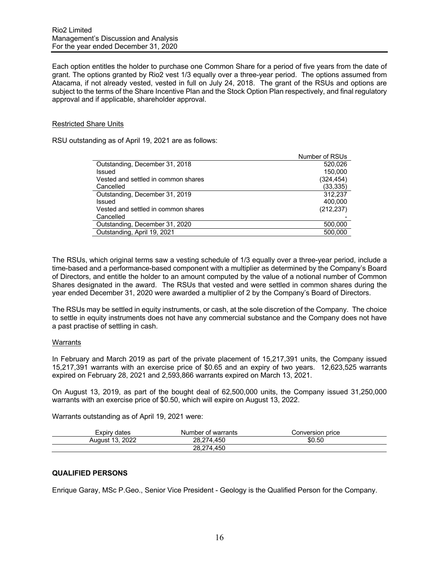Each option entitles the holder to purchase one Common Share for a period of five years from the date of grant. The options granted by Rio2 vest 1/3 equally over a three-year period. The options assumed from Atacama, if not already vested, vested in full on July 24, 2018. The grant of the RSUs and options are subject to the terms of the Share Incentive Plan and the Stock Option Plan respectively, and final regulatory approval and if applicable, shareholder approval.

#### Restricted Share Units

RSU outstanding as of April 19, 2021 are as follows:

|                                     | Number of RSUs |
|-------------------------------------|----------------|
| Outstanding, December 31, 2018      | 520.026        |
| Issued                              | 150,000        |
| Vested and settled in common shares | (324, 454)     |
| Cancelled                           | (33, 335)      |
| Outstanding, December 31, 2019      | 312.237        |
| Issued                              | 400.000        |
| Vested and settled in common shares | (212, 237)     |
| Cancelled                           |                |
| Outstanding, December 31, 2020      | 500,000        |
| Outstanding, April 19, 2021         | 500,000        |
|                                     |                |

The RSUs, which original terms saw a vesting schedule of 1/3 equally over a three-year period, include a time-based and a performance-based component with a multiplier as determined by the Company's Board of Directors, and entitle the holder to an amount computed by the value of a notional number of Common Shares designated in the award. The RSUs that vested and were settled in common shares during the year ended December 31, 2020 were awarded a multiplier of 2 by the Company's Board of Directors.

The RSUs may be settled in equity instruments, or cash, at the sole discretion of the Company. The choice to settle in equity instruments does not have any commercial substance and the Company does not have a past practise of settling in cash.

#### Warrants

In February and March 2019 as part of the private placement of 15,217,391 units, the Company issued 15,217,391 warrants with an exercise price of \$0.65 and an expiry of two years. 12,623,525 warrants expired on February 28, 2021 and 2,593,866 warrants expired on March 13, 2021.

On August 13, 2019, as part of the bought deal of 62,500,000 units, the Company issued 31,250,000 warrants with an exercise price of \$0.50, which will expire on August 13, 2022.

Warrants outstanding as of April 19, 2021 were:

| Expiry<br>dates                         | Number of warrants  | Conversion price |
|-----------------------------------------|---------------------|------------------|
| 2022<br>$\overline{A}$<br>Auaust<br>ر ا | 450<br>28.2<br>14.  | \$0.50           |
|                                         | 450<br>28.27<br>'4. |                  |

## **QUALIFIED PERSONS**

Enrique Garay, MSc P.Geo., Senior Vice President - Geology is the Qualified Person for the Company.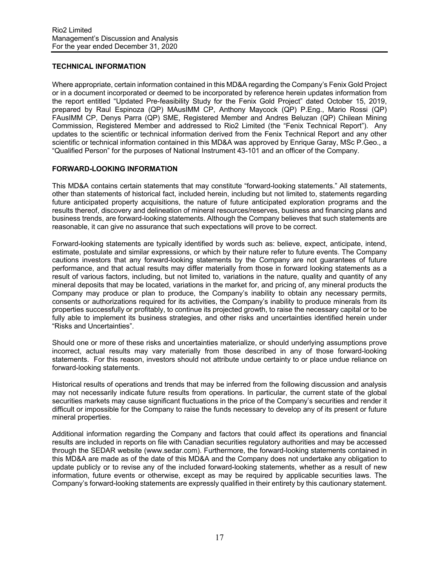## **TECHNICAL INFORMATION**

Where appropriate, certain information contained in this MD&A regarding the Company's Fenix Gold Project or in a document incorporated or deemed to be incorporated by reference herein updates information from the report entitled "Updated Pre-feasibility Study for the Fenix Gold Project" dated October 15, 2019, prepared by Raul Espinoza (QP) MAusIMM CP, Anthony Maycock (QP) P.Eng., Mario Rossi (QP) FAusIMM CP, Denys Parra (QP) SME, Registered Member and Andres Beluzan (QP) Chilean Mining Commission, Registered Member and addressed to Rio2 Limited (the "Fenix Technical Report"). Any updates to the scientific or technical information derived from the Fenix Technical Report and any other scientific or technical information contained in this MD&A was approved by Enrique Garay, MSc P.Geo., a "Qualified Person" for the purposes of National Instrument 43-101 and an officer of the Company.

## **FORWARD-LOOKING INFORMATION**

This MD&A contains certain statements that may constitute "forward-looking statements." All statements, other than statements of historical fact, included herein, including but not limited to, statements regarding future anticipated property acquisitions, the nature of future anticipated exploration programs and the results thereof, discovery and delineation of mineral resources/reserves, business and financing plans and business trends, are forward-looking statements. Although the Company believes that such statements are reasonable, it can give no assurance that such expectations will prove to be correct.

Forward-looking statements are typically identified by words such as: believe, expect, anticipate, intend, estimate, postulate and similar expressions, or which by their nature refer to future events. The Company cautions investors that any forward-looking statements by the Company are not guarantees of future performance, and that actual results may differ materially from those in forward looking statements as a result of various factors, including, but not limited to, variations in the nature, quality and quantity of any mineral deposits that may be located, variations in the market for, and pricing of, any mineral products the Company may produce or plan to produce, the Company's inability to obtain any necessary permits, consents or authorizations required for its activities, the Company's inability to produce minerals from its properties successfully or profitably, to continue its projected growth, to raise the necessary capital or to be fully able to implement its business strategies, and other risks and uncertainties identified herein under "Risks and Uncertainties".

Should one or more of these risks and uncertainties materialize, or should underlying assumptions prove incorrect, actual results may vary materially from those described in any of those forward-looking statements. For this reason, investors should not attribute undue certainty to or place undue reliance on forward-looking statements.

Historical results of operations and trends that may be inferred from the following discussion and analysis may not necessarily indicate future results from operations. In particular, the current state of the global securities markets may cause significant fluctuations in the price of the Company's securities and render it difficult or impossible for the Company to raise the funds necessary to develop any of its present or future mineral properties.

Additional information regarding the Company and factors that could affect its operations and financial results are included in reports on file with Canadian securities regulatory authorities and may be accessed through the SEDAR website (www.sedar.com). Furthermore, the forward-looking statements contained in this MD&A are made as of the date of this MD&A and the Company does not undertake any obligation to update publicly or to revise any of the included forward-looking statements, whether as a result of new information, future events or otherwise, except as may be required by applicable securities laws. The Company's forward-looking statements are expressly qualified in their entirety by this cautionary statement.